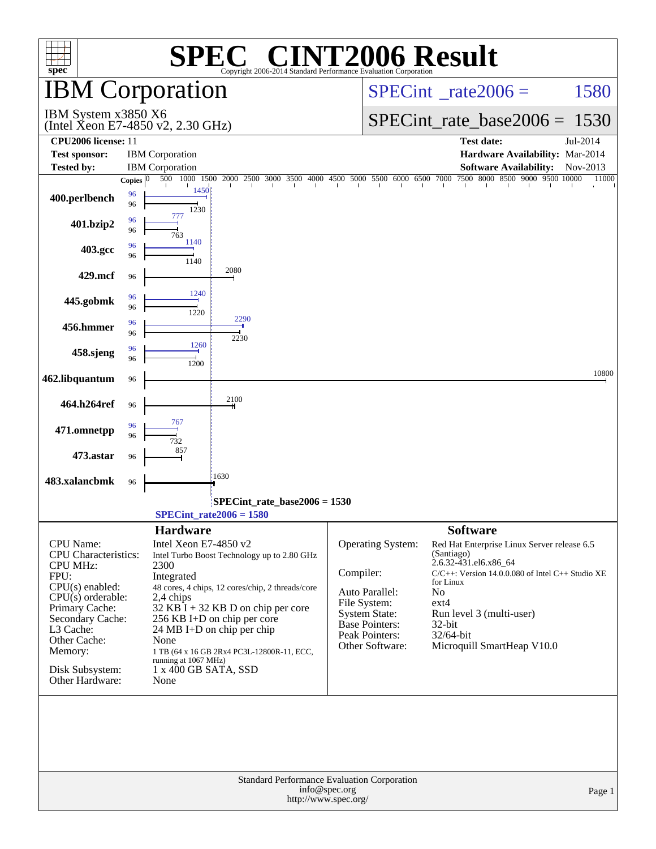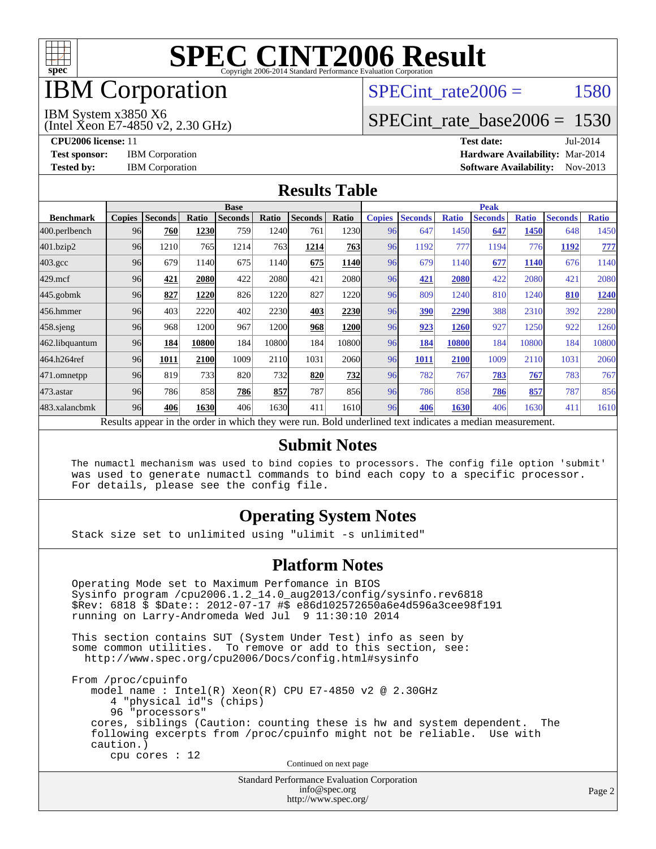

## IBM Corporation

### SPECint rate $2006 = 1580$

#### IBM System x3850 X6

(Intel Xeon E7-4850 v2, 2.30 GHz)

[SPECint\\_rate\\_base2006 =](http://www.spec.org/auto/cpu2006/Docs/result-fields.html#SPECintratebase2006) 1530

**[CPU2006 license:](http://www.spec.org/auto/cpu2006/Docs/result-fields.html#CPU2006license)** 11 **[Test date:](http://www.spec.org/auto/cpu2006/Docs/result-fields.html#Testdate)** Jul-2014 **[Test sponsor:](http://www.spec.org/auto/cpu2006/Docs/result-fields.html#Testsponsor)** IBM Corporation **[Hardware Availability:](http://www.spec.org/auto/cpu2006/Docs/result-fields.html#HardwareAvailability)** Mar-2014 **[Tested by:](http://www.spec.org/auto/cpu2006/Docs/result-fields.html#Testedby)** IBM Corporation **[Software Availability:](http://www.spec.org/auto/cpu2006/Docs/result-fields.html#SoftwareAvailability)** Nov-2013

#### **[Results Table](http://www.spec.org/auto/cpu2006/Docs/result-fields.html#ResultsTable)**

|                    | <b>Base</b>   |                |       |                |       |                                                                                                          |       | <b>Peak</b>   |                |              |                |              |                |              |
|--------------------|---------------|----------------|-------|----------------|-------|----------------------------------------------------------------------------------------------------------|-------|---------------|----------------|--------------|----------------|--------------|----------------|--------------|
| <b>Benchmark</b>   | <b>Copies</b> | <b>Seconds</b> | Ratio | <b>Seconds</b> | Ratio | <b>Seconds</b>                                                                                           | Ratio | <b>Copies</b> | <b>Seconds</b> | <b>Ratio</b> | <b>Seconds</b> | <b>Ratio</b> | <b>Seconds</b> | <b>Ratio</b> |
| 400.perlbench      | 96            | 760            | 1230  | 759            | 1240  | 761                                                                                                      | 1230  | 96            | 647            | 1450         | 647            | 1450         | 648            | 1450         |
| 401.bzip2          | 96            | 1210           | 765   | 1214           | 763   | 1214                                                                                                     | 763   | 96            | 1192           | 777          | 1194           | 776          | 1192           | 777          |
| $403.\mathrm{gcc}$ | 96            | 679            | 1140  | 675            | 1140  | 675                                                                                                      | 1140  | 96            | 679            | 1140         | 677            | 1140         | 676            | 1140         |
| $429$ .mcf         | 96            | 421            | 2080  | 422            | 2080  | 421                                                                                                      | 2080  | 96            | 421            | 2080         | 422            | 2080         | 421            | 2080         |
| $445$ .gobm $k$    | 96            | 827            | 1220  | 826            | 1220  | 827                                                                                                      | 1220  | 96            | 809            | 1240         | 810            | 1240         | 810            | 1240         |
| 456.hmmer          | 96            | 403            | 2220  | 402            | 2230  | 403                                                                                                      | 2230  | 96            | 390            | 2290         | 388            | 2310         | 392            | 2280         |
| $458$ .sjeng       | 96            | 968            | 1200  | 967            | 1200  | 968                                                                                                      | 1200  | 96            | 923            | 1260         | 927            | 1250         | 922            | 1260         |
| 462.libquantum     | 96            | 184            | 10800 | 184            | 10800 | 184                                                                                                      | 10800 | 96            | 184            | 10800        | 184            | 10800        | 184            | 10800        |
| 464.h264ref        | 96            | 1011           | 2100  | 1009           | 2110  | 1031                                                                                                     | 2060l | 96            | 1011           | 2100         | 1009           | 2110         | 1031           | 2060         |
| 471.omnetpp        | 96            | 819            | 733   | 820            | 732   | 820                                                                                                      | 732   | 96            | 782            | 767          | 783            | 767          | 783            | 767          |
| $473$ . astar      | 96            | 786            | 858   | 786            | 857   | 787                                                                                                      | 856   | 96            | 786            | 858          | 786            | 857          | 787            | 856          |
| 483.xalancbmk      | 96            | 406            | 1630  | 406            | 1630  | 411                                                                                                      | 1610  | 96            | 406            | 1630         | 406            | 1630         | 411            | 1610         |
|                    |               |                |       |                |       | Results appear in the order in which they were run. Bold underlined text indicates a median measurement. |       |               |                |              |                |              |                |              |

#### **[Submit Notes](http://www.spec.org/auto/cpu2006/Docs/result-fields.html#SubmitNotes)**

 The numactl mechanism was used to bind copies to processors. The config file option 'submit' was used to generate numactl commands to bind each copy to a specific processor. For details, please see the config file.

#### **[Operating System Notes](http://www.spec.org/auto/cpu2006/Docs/result-fields.html#OperatingSystemNotes)**

Stack size set to unlimited using "ulimit -s unlimited"

#### **[Platform Notes](http://www.spec.org/auto/cpu2006/Docs/result-fields.html#PlatformNotes)**

 Operating Mode set to Maximum Perfomance in BIOS Sysinfo program /cpu2006.1.2\_14.0\_aug2013/config/sysinfo.rev6818 \$Rev: 6818 \$ \$Date:: 2012-07-17 #\$ e86d102572650a6e4d596a3cee98f191 running on Larry-Andromeda Wed Jul 9 11:30:10 2014

 This section contains SUT (System Under Test) info as seen by some common utilities. To remove or add to this section, see: <http://www.spec.org/cpu2006/Docs/config.html#sysinfo>

 From /proc/cpuinfo model name : Intel(R) Xeon(R) CPU E7-4850 v2 @ 2.30GHz 4 "physical id"s (chips) 96 "processors" cores, siblings (Caution: counting these is hw and system dependent. The following excerpts from /proc/cpuinfo might not be reliable. Use with caution.) cpu cores : 12

Continued on next page

Standard Performance Evaluation Corporation [info@spec.org](mailto:info@spec.org) <http://www.spec.org/>

Page 2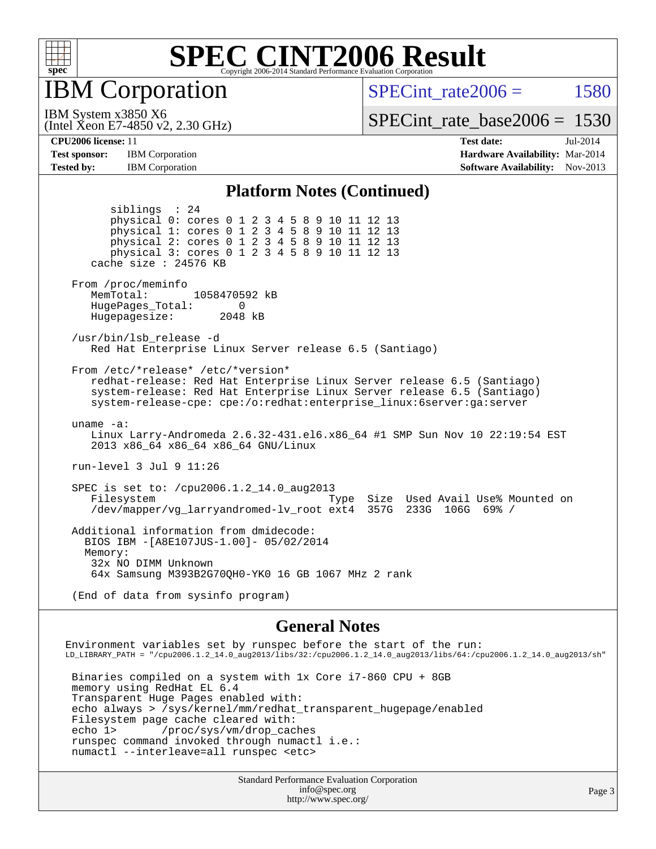

IBM Corporation

(Intel Xeon E7-4850 v2, 2.30 GHz)

SPECint rate $2006 = 1580$ 

IBM System x3850 X6

[SPECint\\_rate\\_base2006 =](http://www.spec.org/auto/cpu2006/Docs/result-fields.html#SPECintratebase2006) 1530

**[Test sponsor:](http://www.spec.org/auto/cpu2006/Docs/result-fields.html#Testsponsor)** IBM Corporation **[Hardware Availability:](http://www.spec.org/auto/cpu2006/Docs/result-fields.html#HardwareAvailability)** Mar-2014

**[CPU2006 license:](http://www.spec.org/auto/cpu2006/Docs/result-fields.html#CPU2006license)** 11 **[Test date:](http://www.spec.org/auto/cpu2006/Docs/result-fields.html#Testdate)** Jul-2014 **[Tested by:](http://www.spec.org/auto/cpu2006/Docs/result-fields.html#Testedby)** IBM Corporation **IBM** Corporation **[Software Availability:](http://www.spec.org/auto/cpu2006/Docs/result-fields.html#SoftwareAvailability)** Nov-2013

#### **[Platform Notes \(Continued\)](http://www.spec.org/auto/cpu2006/Docs/result-fields.html#PlatformNotes)**

 siblings : 24 physical 0: cores 0 1 2 3 4 5 8 9 10 11 12 13 physical 1: cores 0 1 2 3 4 5 8 9 10 11 12 13 physical 2: cores 0 1 2 3 4 5 8 9 10 11 12 13 physical 3: cores 0 1 2 3 4 5 8 9 10 11 12 13 cache size : 24576 KB From /proc/meminfo MemTotal: 1058470592 kB HugePages\_Total: 0<br>Hugepagesize: 2048 kB Hugepagesize: /usr/bin/lsb\_release -d Red Hat Enterprise Linux Server release 6.5 (Santiago) From /etc/\*release\* /etc/\*version\* redhat-release: Red Hat Enterprise Linux Server release 6.5 (Santiago) system-release: Red Hat Enterprise Linux Server release 6.5 (Santiago) system-release-cpe: cpe:/o:redhat:enterprise\_linux:6server:ga:server uname -a: Linux Larry-Andromeda 2.6.32-431.el6.x86\_64 #1 SMP Sun Nov 10 22:19:54 EST 2013 x86\_64 x86\_64 x86\_64 GNU/Linux run-level 3 Jul 9 11:26 SPEC is set to: /cpu2006.1.2\_14.0\_aug2013 Filesystem Type Size Used Avail Use% Mounted on<br>
/dev/mapper/vg larryandromed-ly root ext4 357G 233G 106G 69% / /dev/mapper/vg\_larryandromed-lv\_root ext4 Additional information from dmidecode: BIOS IBM -[A8E107JUS-1.00]- 05/02/2014 Memory: 32x NO DIMM Unknown 64x Samsung M393B2G70QH0-YK0 16 GB 1067 MHz 2 rank (End of data from sysinfo program)

#### **[General Notes](http://www.spec.org/auto/cpu2006/Docs/result-fields.html#GeneralNotes)**

Environment variables set by runspec before the start of the run: LD\_LIBRARY\_PATH = "/cpu2006.1.2\_14.0\_aug2013/libs/32:/cpu2006.1.2\_14.0\_aug2013/libs/64:/cpu2006.1.2\_14.0\_aug2013/sh" Binaries compiled on a system with 1x Core i7-860 CPU + 8GB memory using RedHat EL 6.4 Transparent Huge Pages enabled with: echo always > /sys/kernel/mm/redhat\_transparent\_hugepage/enabled Filesystem page cache cleared with: echo 1> /proc/sys/vm/drop\_caches runspec command invoked through numactl i.e.: numactl --interleave=all runspec <etc>

Standard Performance Evaluation Corporation [info@spec.org](mailto:info@spec.org) <http://www.spec.org/>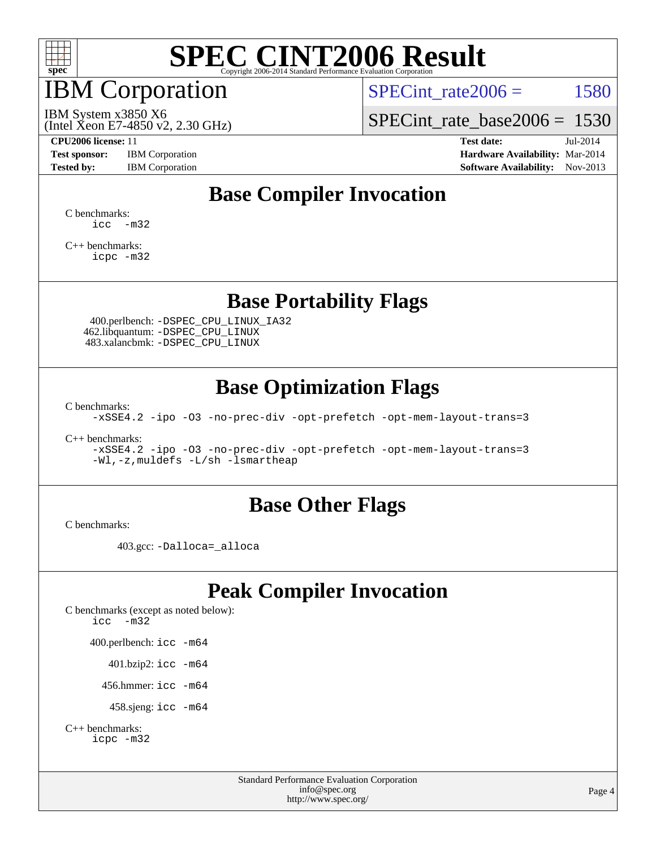

## IBM Corporation

SPECint rate $2006 = 1580$ 

(Intel Xeon E7-4850 v2, 2.30 GHz) IBM System x3850 X6

[SPECint\\_rate\\_base2006 =](http://www.spec.org/auto/cpu2006/Docs/result-fields.html#SPECintratebase2006) 1530

**[CPU2006 license:](http://www.spec.org/auto/cpu2006/Docs/result-fields.html#CPU2006license)** 11 **[Test date:](http://www.spec.org/auto/cpu2006/Docs/result-fields.html#Testdate)** Jul-2014 **[Test sponsor:](http://www.spec.org/auto/cpu2006/Docs/result-fields.html#Testsponsor)** IBM Corporation **[Hardware Availability:](http://www.spec.org/auto/cpu2006/Docs/result-fields.html#HardwareAvailability)** Mar-2014 **[Tested by:](http://www.spec.org/auto/cpu2006/Docs/result-fields.html#Testedby)** IBM Corporation **[Software Availability:](http://www.spec.org/auto/cpu2006/Docs/result-fields.html#SoftwareAvailability)** Nov-2013

## **[Base Compiler Invocation](http://www.spec.org/auto/cpu2006/Docs/result-fields.html#BaseCompilerInvocation)**

[C benchmarks](http://www.spec.org/auto/cpu2006/Docs/result-fields.html#Cbenchmarks):  $\text{icc}$   $-\text{m32}$ 

[C++ benchmarks:](http://www.spec.org/auto/cpu2006/Docs/result-fields.html#CXXbenchmarks) [icpc -m32](http://www.spec.org/cpu2006/results/res2014q3/cpu2006-20140714-30415.flags.html#user_CXXbase_intel_icpc_4e5a5ef1a53fd332b3c49e69c3330699)

#### **[Base Portability Flags](http://www.spec.org/auto/cpu2006/Docs/result-fields.html#BasePortabilityFlags)**

 400.perlbench: [-DSPEC\\_CPU\\_LINUX\\_IA32](http://www.spec.org/cpu2006/results/res2014q3/cpu2006-20140714-30415.flags.html#b400.perlbench_baseCPORTABILITY_DSPEC_CPU_LINUX_IA32) 462.libquantum: [-DSPEC\\_CPU\\_LINUX](http://www.spec.org/cpu2006/results/res2014q3/cpu2006-20140714-30415.flags.html#b462.libquantum_baseCPORTABILITY_DSPEC_CPU_LINUX) 483.xalancbmk: [-DSPEC\\_CPU\\_LINUX](http://www.spec.org/cpu2006/results/res2014q3/cpu2006-20140714-30415.flags.html#b483.xalancbmk_baseCXXPORTABILITY_DSPEC_CPU_LINUX)

### **[Base Optimization Flags](http://www.spec.org/auto/cpu2006/Docs/result-fields.html#BaseOptimizationFlags)**

[C benchmarks](http://www.spec.org/auto/cpu2006/Docs/result-fields.html#Cbenchmarks):

[-xSSE4.2](http://www.spec.org/cpu2006/results/res2014q3/cpu2006-20140714-30415.flags.html#user_CCbase_f-xSSE42_f91528193cf0b216347adb8b939d4107) [-ipo](http://www.spec.org/cpu2006/results/res2014q3/cpu2006-20140714-30415.flags.html#user_CCbase_f-ipo) [-O3](http://www.spec.org/cpu2006/results/res2014q3/cpu2006-20140714-30415.flags.html#user_CCbase_f-O3) [-no-prec-div](http://www.spec.org/cpu2006/results/res2014q3/cpu2006-20140714-30415.flags.html#user_CCbase_f-no-prec-div) [-opt-prefetch](http://www.spec.org/cpu2006/results/res2014q3/cpu2006-20140714-30415.flags.html#user_CCbase_f-opt-prefetch) [-opt-mem-layout-trans=3](http://www.spec.org/cpu2006/results/res2014q3/cpu2006-20140714-30415.flags.html#user_CCbase_f-opt-mem-layout-trans_a7b82ad4bd7abf52556d4961a2ae94d5)

[C++ benchmarks:](http://www.spec.org/auto/cpu2006/Docs/result-fields.html#CXXbenchmarks)

[-xSSE4.2](http://www.spec.org/cpu2006/results/res2014q3/cpu2006-20140714-30415.flags.html#user_CXXbase_f-xSSE42_f91528193cf0b216347adb8b939d4107) [-ipo](http://www.spec.org/cpu2006/results/res2014q3/cpu2006-20140714-30415.flags.html#user_CXXbase_f-ipo) [-O3](http://www.spec.org/cpu2006/results/res2014q3/cpu2006-20140714-30415.flags.html#user_CXXbase_f-O3) [-no-prec-div](http://www.spec.org/cpu2006/results/res2014q3/cpu2006-20140714-30415.flags.html#user_CXXbase_f-no-prec-div) [-opt-prefetch](http://www.spec.org/cpu2006/results/res2014q3/cpu2006-20140714-30415.flags.html#user_CXXbase_f-opt-prefetch) [-opt-mem-layout-trans=3](http://www.spec.org/cpu2006/results/res2014q3/cpu2006-20140714-30415.flags.html#user_CXXbase_f-opt-mem-layout-trans_a7b82ad4bd7abf52556d4961a2ae94d5) [-Wl,-z,muldefs](http://www.spec.org/cpu2006/results/res2014q3/cpu2006-20140714-30415.flags.html#user_CXXbase_link_force_multiple1_74079c344b956b9658436fd1b6dd3a8a) [-L/sh -lsmartheap](http://www.spec.org/cpu2006/results/res2014q3/cpu2006-20140714-30415.flags.html#user_CXXbase_SmartHeap_32f6c82aa1ed9c52345d30cf6e4a0499)

#### **[Base Other Flags](http://www.spec.org/auto/cpu2006/Docs/result-fields.html#BaseOtherFlags)**

[C benchmarks](http://www.spec.org/auto/cpu2006/Docs/result-fields.html#Cbenchmarks):

403.gcc: [-Dalloca=\\_alloca](http://www.spec.org/cpu2006/results/res2014q3/cpu2006-20140714-30415.flags.html#b403.gcc_baseEXTRA_CFLAGS_Dalloca_be3056838c12de2578596ca5467af7f3)

## **[Peak Compiler Invocation](http://www.spec.org/auto/cpu2006/Docs/result-fields.html#PeakCompilerInvocation)**

[C benchmarks \(except as noted below\)](http://www.spec.org/auto/cpu2006/Docs/result-fields.html#Cbenchmarksexceptasnotedbelow): [icc -m32](http://www.spec.org/cpu2006/results/res2014q3/cpu2006-20140714-30415.flags.html#user_CCpeak_intel_icc_5ff4a39e364c98233615fdd38438c6f2) 400.perlbench: [icc -m64](http://www.spec.org/cpu2006/results/res2014q3/cpu2006-20140714-30415.flags.html#user_peakCCLD400_perlbench_intel_icc_64bit_bda6cc9af1fdbb0edc3795bac97ada53) 401.bzip2: [icc -m64](http://www.spec.org/cpu2006/results/res2014q3/cpu2006-20140714-30415.flags.html#user_peakCCLD401_bzip2_intel_icc_64bit_bda6cc9af1fdbb0edc3795bac97ada53)

456.hmmer: [icc -m64](http://www.spec.org/cpu2006/results/res2014q3/cpu2006-20140714-30415.flags.html#user_peakCCLD456_hmmer_intel_icc_64bit_bda6cc9af1fdbb0edc3795bac97ada53)

458.sjeng: [icc -m64](http://www.spec.org/cpu2006/results/res2014q3/cpu2006-20140714-30415.flags.html#user_peakCCLD458_sjeng_intel_icc_64bit_bda6cc9af1fdbb0edc3795bac97ada53)

```
C++ benchmarks: 
    icpc -m32
```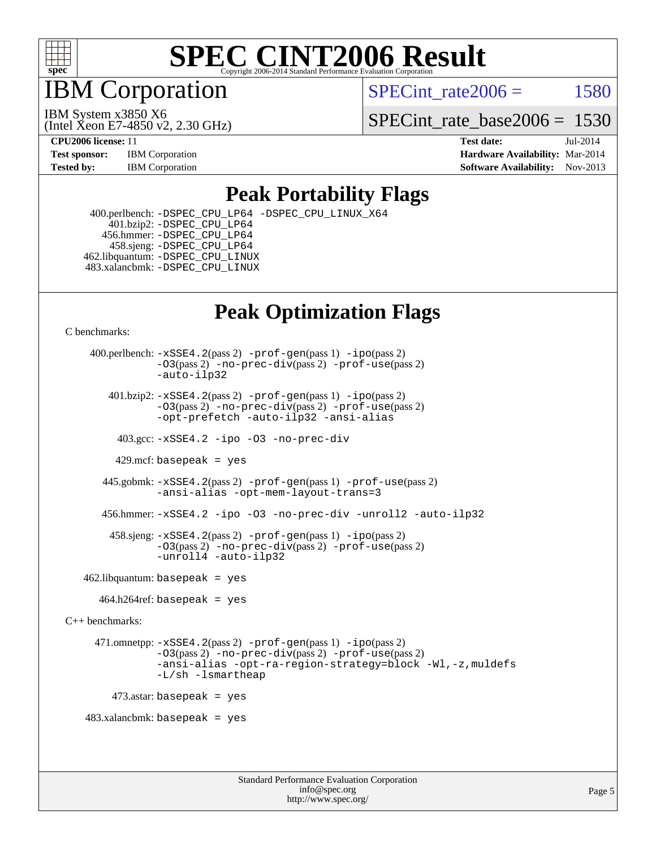

IBM Corporation

SPECint rate $2006 = 1580$ 

(Intel Xeon E7-4850 v2, 2.30 GHz) IBM System x3850 X6

[SPECint\\_rate\\_base2006 =](http://www.spec.org/auto/cpu2006/Docs/result-fields.html#SPECintratebase2006) 1530

**[CPU2006 license:](http://www.spec.org/auto/cpu2006/Docs/result-fields.html#CPU2006license)** 11 **[Test date:](http://www.spec.org/auto/cpu2006/Docs/result-fields.html#Testdate)** Jul-2014 **[Test sponsor:](http://www.spec.org/auto/cpu2006/Docs/result-fields.html#Testsponsor)** IBM Corporation **[Hardware Availability:](http://www.spec.org/auto/cpu2006/Docs/result-fields.html#HardwareAvailability)** Mar-2014 **[Tested by:](http://www.spec.org/auto/cpu2006/Docs/result-fields.html#Testedby)** IBM Corporation **[Software Availability:](http://www.spec.org/auto/cpu2006/Docs/result-fields.html#SoftwareAvailability)** Nov-2013

### **[Peak Portability Flags](http://www.spec.org/auto/cpu2006/Docs/result-fields.html#PeakPortabilityFlags)**

 400.perlbench: [-DSPEC\\_CPU\\_LP64](http://www.spec.org/cpu2006/results/res2014q3/cpu2006-20140714-30415.flags.html#b400.perlbench_peakCPORTABILITY_DSPEC_CPU_LP64) [-DSPEC\\_CPU\\_LINUX\\_X64](http://www.spec.org/cpu2006/results/res2014q3/cpu2006-20140714-30415.flags.html#b400.perlbench_peakCPORTABILITY_DSPEC_CPU_LINUX_X64) 401.bzip2: [-DSPEC\\_CPU\\_LP64](http://www.spec.org/cpu2006/results/res2014q3/cpu2006-20140714-30415.flags.html#suite_peakCPORTABILITY401_bzip2_DSPEC_CPU_LP64) 456.hmmer: [-DSPEC\\_CPU\\_LP64](http://www.spec.org/cpu2006/results/res2014q3/cpu2006-20140714-30415.flags.html#suite_peakCPORTABILITY456_hmmer_DSPEC_CPU_LP64) 458.sjeng: [-DSPEC\\_CPU\\_LP64](http://www.spec.org/cpu2006/results/res2014q3/cpu2006-20140714-30415.flags.html#suite_peakCPORTABILITY458_sjeng_DSPEC_CPU_LP64) 462.libquantum: [-DSPEC\\_CPU\\_LINUX](http://www.spec.org/cpu2006/results/res2014q3/cpu2006-20140714-30415.flags.html#b462.libquantum_peakCPORTABILITY_DSPEC_CPU_LINUX) 483.xalancbmk: [-DSPEC\\_CPU\\_LINUX](http://www.spec.org/cpu2006/results/res2014q3/cpu2006-20140714-30415.flags.html#b483.xalancbmk_peakCXXPORTABILITY_DSPEC_CPU_LINUX)

## **[Peak Optimization Flags](http://www.spec.org/auto/cpu2006/Docs/result-fields.html#PeakOptimizationFlags)**

[C benchmarks](http://www.spec.org/auto/cpu2006/Docs/result-fields.html#Cbenchmarks):

 400.perlbench: [-xSSE4.2](http://www.spec.org/cpu2006/results/res2014q3/cpu2006-20140714-30415.flags.html#user_peakPASS2_CFLAGSPASS2_LDCFLAGS400_perlbench_f-xSSE42_f91528193cf0b216347adb8b939d4107)(pass 2) [-prof-gen](http://www.spec.org/cpu2006/results/res2014q3/cpu2006-20140714-30415.flags.html#user_peakPASS1_CFLAGSPASS1_LDCFLAGS400_perlbench_prof_gen_e43856698f6ca7b7e442dfd80e94a8fc)(pass 1) [-ipo](http://www.spec.org/cpu2006/results/res2014q3/cpu2006-20140714-30415.flags.html#user_peakPASS2_CFLAGSPASS2_LDCFLAGS400_perlbench_f-ipo)(pass 2) [-O3](http://www.spec.org/cpu2006/results/res2014q3/cpu2006-20140714-30415.flags.html#user_peakPASS2_CFLAGSPASS2_LDCFLAGS400_perlbench_f-O3)(pass 2) [-no-prec-div](http://www.spec.org/cpu2006/results/res2014q3/cpu2006-20140714-30415.flags.html#user_peakPASS2_CFLAGSPASS2_LDCFLAGS400_perlbench_f-no-prec-div)(pass 2) [-prof-use](http://www.spec.org/cpu2006/results/res2014q3/cpu2006-20140714-30415.flags.html#user_peakPASS2_CFLAGSPASS2_LDCFLAGS400_perlbench_prof_use_bccf7792157ff70d64e32fe3e1250b55)(pass 2) [-auto-ilp32](http://www.spec.org/cpu2006/results/res2014q3/cpu2006-20140714-30415.flags.html#user_peakCOPTIMIZE400_perlbench_f-auto-ilp32)  $401.bzip2: -xSSE4.2(pass 2) -prof-qen(pass 1) -ipo(pass 2)$  $401.bzip2: -xSSE4.2(pass 2) -prof-qen(pass 1) -ipo(pass 2)$  $401.bzip2: -xSSE4.2(pass 2) -prof-qen(pass 1) -ipo(pass 2)$  $401.bzip2: -xSSE4.2(pass 2) -prof-qen(pass 1) -ipo(pass 2)$  $401.bzip2: -xSSE4.2(pass 2) -prof-qen(pass 1) -ipo(pass 2)$ [-O3](http://www.spec.org/cpu2006/results/res2014q3/cpu2006-20140714-30415.flags.html#user_peakPASS2_CFLAGSPASS2_LDCFLAGS401_bzip2_f-O3)(pass 2) [-no-prec-div](http://www.spec.org/cpu2006/results/res2014q3/cpu2006-20140714-30415.flags.html#user_peakPASS2_CFLAGSPASS2_LDCFLAGS401_bzip2_f-no-prec-div)(pass 2) [-prof-use](http://www.spec.org/cpu2006/results/res2014q3/cpu2006-20140714-30415.flags.html#user_peakPASS2_CFLAGSPASS2_LDCFLAGS401_bzip2_prof_use_bccf7792157ff70d64e32fe3e1250b55)(pass 2) [-opt-prefetch](http://www.spec.org/cpu2006/results/res2014q3/cpu2006-20140714-30415.flags.html#user_peakCOPTIMIZE401_bzip2_f-opt-prefetch) [-auto-ilp32](http://www.spec.org/cpu2006/results/res2014q3/cpu2006-20140714-30415.flags.html#user_peakCOPTIMIZE401_bzip2_f-auto-ilp32) [-ansi-alias](http://www.spec.org/cpu2006/results/res2014q3/cpu2006-20140714-30415.flags.html#user_peakCOPTIMIZE401_bzip2_f-ansi-alias) 403.gcc: [-xSSE4.2](http://www.spec.org/cpu2006/results/res2014q3/cpu2006-20140714-30415.flags.html#user_peakCOPTIMIZE403_gcc_f-xSSE42_f91528193cf0b216347adb8b939d4107) [-ipo](http://www.spec.org/cpu2006/results/res2014q3/cpu2006-20140714-30415.flags.html#user_peakCOPTIMIZE403_gcc_f-ipo) [-O3](http://www.spec.org/cpu2006/results/res2014q3/cpu2006-20140714-30415.flags.html#user_peakCOPTIMIZE403_gcc_f-O3) [-no-prec-div](http://www.spec.org/cpu2006/results/res2014q3/cpu2006-20140714-30415.flags.html#user_peakCOPTIMIZE403_gcc_f-no-prec-div) 429.mcf: basepeak = yes 445.gobmk: [-xSSE4.2](http://www.spec.org/cpu2006/results/res2014q3/cpu2006-20140714-30415.flags.html#user_peakPASS2_CFLAGSPASS2_LDCFLAGS445_gobmk_f-xSSE42_f91528193cf0b216347adb8b939d4107)(pass 2) [-prof-gen](http://www.spec.org/cpu2006/results/res2014q3/cpu2006-20140714-30415.flags.html#user_peakPASS1_CFLAGSPASS1_LDCFLAGS445_gobmk_prof_gen_e43856698f6ca7b7e442dfd80e94a8fc)(pass 1) [-prof-use](http://www.spec.org/cpu2006/results/res2014q3/cpu2006-20140714-30415.flags.html#user_peakPASS2_CFLAGSPASS2_LDCFLAGS445_gobmk_prof_use_bccf7792157ff70d64e32fe3e1250b55)(pass 2) [-ansi-alias](http://www.spec.org/cpu2006/results/res2014q3/cpu2006-20140714-30415.flags.html#user_peakCOPTIMIZE445_gobmk_f-ansi-alias) [-opt-mem-layout-trans=3](http://www.spec.org/cpu2006/results/res2014q3/cpu2006-20140714-30415.flags.html#user_peakCOPTIMIZE445_gobmk_f-opt-mem-layout-trans_a7b82ad4bd7abf52556d4961a2ae94d5) 456.hmmer: [-xSSE4.2](http://www.spec.org/cpu2006/results/res2014q3/cpu2006-20140714-30415.flags.html#user_peakCOPTIMIZE456_hmmer_f-xSSE42_f91528193cf0b216347adb8b939d4107) [-ipo](http://www.spec.org/cpu2006/results/res2014q3/cpu2006-20140714-30415.flags.html#user_peakCOPTIMIZE456_hmmer_f-ipo) [-O3](http://www.spec.org/cpu2006/results/res2014q3/cpu2006-20140714-30415.flags.html#user_peakCOPTIMIZE456_hmmer_f-O3) [-no-prec-div](http://www.spec.org/cpu2006/results/res2014q3/cpu2006-20140714-30415.flags.html#user_peakCOPTIMIZE456_hmmer_f-no-prec-div) [-unroll2](http://www.spec.org/cpu2006/results/res2014q3/cpu2006-20140714-30415.flags.html#user_peakCOPTIMIZE456_hmmer_f-unroll_784dae83bebfb236979b41d2422d7ec2) [-auto-ilp32](http://www.spec.org/cpu2006/results/res2014q3/cpu2006-20140714-30415.flags.html#user_peakCOPTIMIZE456_hmmer_f-auto-ilp32) 458.sjeng: [-xSSE4.2](http://www.spec.org/cpu2006/results/res2014q3/cpu2006-20140714-30415.flags.html#user_peakPASS2_CFLAGSPASS2_LDCFLAGS458_sjeng_f-xSSE42_f91528193cf0b216347adb8b939d4107)(pass 2) [-prof-gen](http://www.spec.org/cpu2006/results/res2014q3/cpu2006-20140714-30415.flags.html#user_peakPASS1_CFLAGSPASS1_LDCFLAGS458_sjeng_prof_gen_e43856698f6ca7b7e442dfd80e94a8fc)(pass 1) [-ipo](http://www.spec.org/cpu2006/results/res2014q3/cpu2006-20140714-30415.flags.html#user_peakPASS2_CFLAGSPASS2_LDCFLAGS458_sjeng_f-ipo)(pass 2) [-O3](http://www.spec.org/cpu2006/results/res2014q3/cpu2006-20140714-30415.flags.html#user_peakPASS2_CFLAGSPASS2_LDCFLAGS458_sjeng_f-O3)(pass 2) [-no-prec-div](http://www.spec.org/cpu2006/results/res2014q3/cpu2006-20140714-30415.flags.html#user_peakPASS2_CFLAGSPASS2_LDCFLAGS458_sjeng_f-no-prec-div)(pass 2) [-prof-use](http://www.spec.org/cpu2006/results/res2014q3/cpu2006-20140714-30415.flags.html#user_peakPASS2_CFLAGSPASS2_LDCFLAGS458_sjeng_prof_use_bccf7792157ff70d64e32fe3e1250b55)(pass 2) [-unroll4](http://www.spec.org/cpu2006/results/res2014q3/cpu2006-20140714-30415.flags.html#user_peakCOPTIMIZE458_sjeng_f-unroll_4e5e4ed65b7fd20bdcd365bec371b81f) [-auto-ilp32](http://www.spec.org/cpu2006/results/res2014q3/cpu2006-20140714-30415.flags.html#user_peakCOPTIMIZE458_sjeng_f-auto-ilp32)  $462$ .libquantum: basepeak = yes  $464.h264$ ref: basepeak = yes [C++ benchmarks:](http://www.spec.org/auto/cpu2006/Docs/result-fields.html#CXXbenchmarks) 471.omnetpp: [-xSSE4.2](http://www.spec.org/cpu2006/results/res2014q3/cpu2006-20140714-30415.flags.html#user_peakPASS2_CXXFLAGSPASS2_LDCXXFLAGS471_omnetpp_f-xSSE42_f91528193cf0b216347adb8b939d4107)(pass 2) [-prof-gen](http://www.spec.org/cpu2006/results/res2014q3/cpu2006-20140714-30415.flags.html#user_peakPASS1_CXXFLAGSPASS1_LDCXXFLAGS471_omnetpp_prof_gen_e43856698f6ca7b7e442dfd80e94a8fc)(pass 1) [-ipo](http://www.spec.org/cpu2006/results/res2014q3/cpu2006-20140714-30415.flags.html#user_peakPASS2_CXXFLAGSPASS2_LDCXXFLAGS471_omnetpp_f-ipo)(pass 2) [-O3](http://www.spec.org/cpu2006/results/res2014q3/cpu2006-20140714-30415.flags.html#user_peakPASS2_CXXFLAGSPASS2_LDCXXFLAGS471_omnetpp_f-O3)(pass 2) [-no-prec-div](http://www.spec.org/cpu2006/results/res2014q3/cpu2006-20140714-30415.flags.html#user_peakPASS2_CXXFLAGSPASS2_LDCXXFLAGS471_omnetpp_f-no-prec-div)(pass 2) [-prof-use](http://www.spec.org/cpu2006/results/res2014q3/cpu2006-20140714-30415.flags.html#user_peakPASS2_CXXFLAGSPASS2_LDCXXFLAGS471_omnetpp_prof_use_bccf7792157ff70d64e32fe3e1250b55)(pass 2) [-ansi-alias](http://www.spec.org/cpu2006/results/res2014q3/cpu2006-20140714-30415.flags.html#user_peakCXXOPTIMIZE471_omnetpp_f-ansi-alias) [-opt-ra-region-strategy=block](http://www.spec.org/cpu2006/results/res2014q3/cpu2006-20140714-30415.flags.html#user_peakCXXOPTIMIZE471_omnetpp_f-opt-ra-region-strategy_a0a37c372d03933b2a18d4af463c1f69) [-Wl,-z,muldefs](http://www.spec.org/cpu2006/results/res2014q3/cpu2006-20140714-30415.flags.html#user_peakEXTRA_LDFLAGS471_omnetpp_link_force_multiple1_74079c344b956b9658436fd1b6dd3a8a) [-L/sh -lsmartheap](http://www.spec.org/cpu2006/results/res2014q3/cpu2006-20140714-30415.flags.html#user_peakEXTRA_LIBS471_omnetpp_SmartHeap_32f6c82aa1ed9c52345d30cf6e4a0499)  $473$ .astar: basepeak = yes 483.xalancbmk: basepeak = yes